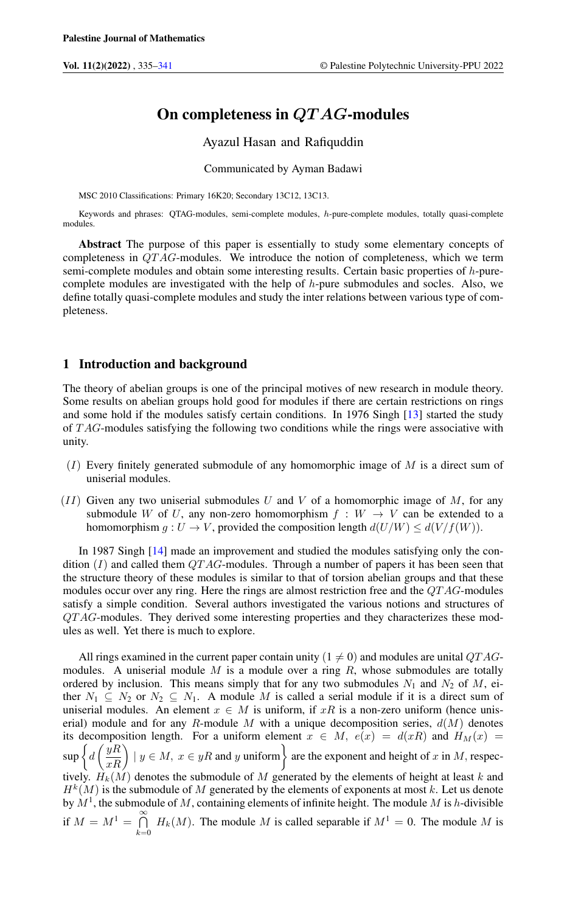# On completeness in QT AG-modules

Ayazul Hasan and Rafiquddin

Communicated by Ayman Badawi

MSC 2010 Classifications: Primary 16K20; Secondary 13C12, 13C13.

Keywords and phrases: QTAG-modules, semi-complete modules, h-pure-complete modules, totally quasi-complete modules.

Abstract The purpose of this paper is essentially to study some elementary concepts of completeness in QT AG-modules. We introduce the notion of completeness, which we term semi-complete modules and obtain some interesting results. Certain basic properties of h-purecomplete modules are investigated with the help of  $h$ -pure submodules and socles. Also, we define totally quasi-complete modules and study the inter relations between various type of completeness.

### 1 Introduction and background

The theory of abelian groups is one of the principal motives of new research in module theory. Some results on abelian groups hold good for modules if there are certain restrictions on rings and some hold if the modules satisfy certain conditions. In 1976 Singh [\[13\]](#page-6-1) started the study of T AG-modules satisfying the following two conditions while the rings were associative with unity.

- $(I)$  Every finitely generated submodule of any homomorphic image of M is a direct sum of uniserial modules.
- $(II)$  Given any two uniserial submodules U and V of a homomorphic image of M, for any submodule W of U, any non-zero homomorphism  $f : W \to V$  can be extended to a homomorphism  $g: U \to V$ , provided the composition length  $d(U/W) \leq d(V/f(W))$ .

In 1987 Singh [\[14\]](#page-6-2) made an improvement and studied the modules satisfying only the condition  $(I)$  and called them  $QTAG$ -modules. Through a number of papers it has been seen that the structure theory of these modules is similar to that of torsion abelian groups and that these modules occur over any ring. Here the rings are almost restriction free and the  $QTAG$ -modules satisfy a simple condition. Several authors investigated the various notions and structures of QT AG-modules. They derived some interesting properties and they characterizes these modules as well. Yet there is much to explore.

All rings examined in the current paper contain unity ( $1 \neq 0$ ) and modules are unital QTAGmodules. A uniserial module  $M$  is a module over a ring  $R$ , whose submodules are totally ordered by inclusion. This means simply that for any two submodules  $N_1$  and  $N_2$  of M, either  $N_1 \subseteq N_2$  or  $N_2 \subseteq N_1$ . A module M is called a serial module if it is a direct sum of uniserial modules. An element  $x \in M$  is uniform, if xR is a non-zero uniform (hence uniserial) module and for any R-module M with a unique decomposition series,  $d(M)$  denotes its decomposition length. For a uniform element  $x \in M$ ,  $e(x) = d(xR)$  and  $H_M(x) =$  $\sup \left\{d\left(\frac{yR}{xR}\right) \mid y \in M, x \in yR \text{ and } y \text{ uniform}\right\}$  are the exponent and height of x in M, respectively.  $H_k(M)$  denotes the submodule of M generated by the elements of height at least k and  $H^k(M)$  is the submodule of M generated by the elements of exponents at most k. Let us denote by  $M<sup>1</sup>$ , the submodule of M, containing elements of infinite height. The module M is h-divisible if  $M = M^1 = \bigcap_{k=1}^{\infty}$  $\bigcap_{k=0} H_k(M)$ . The module M is called separable if  $M^1 = 0$ . The module M is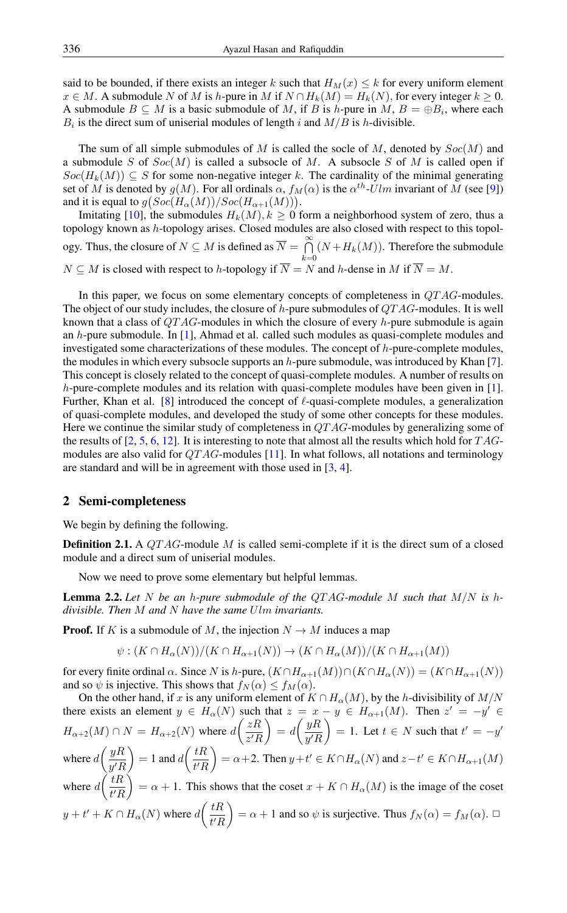said to be bounded, if there exists an integer k such that  $H_M(x) \leq k$  for every uniform element  $x \in M$ . A submodule N of M is h-pure in M if  $N \cap H_k(M) = H_k(N)$ , for every integer  $k \geq 0$ . A submodule  $B \subseteq M$  is a basic submodule of M, if B is h-pure in M,  $B = \bigoplus B_i$ , where each  $B_i$  is the direct sum of uniserial modules of length i and  $M/B$  is h-divisible.

The sum of all simple submodules of  $M$  is called the socle of  $M$ , denoted by  $Soc(M)$  and a submodule S of  $Soc(M)$  is called a subsocle of M. A subsocle S of M is called open if  $Soc(H_k(M)) \subseteq S$  for some non-negative integer k. The cardinality of the minimal generating set of M is denoted by  $g(M)$ . For all ordinals  $\alpha$ ,  $f_M(\alpha)$  is the  $\alpha^{th}\text{-}Ulm$  invariant of M (see [\[9\]](#page-6-3)) and it is equal to  $g(Soc(H_{\alpha}(M))/Soc(H_{\alpha+1}(M)))$ .

Imitating [\[10\]](#page-6-4), the submodules  $H_k(M)$ ,  $k \geq 0$  form a neighborhood system of zero, thus a topology known as h-topology arises. Closed modules are also closed with respect to this topology. Thus, the closure of  $N \subseteq M$  is defined as  $\overline{N} = \bigcap_{i=1}^{\infty} N$  $\bigcap_{k=0} (N + H_k(M))$ . Therefore the submodule  $N \subseteq M$  is closed with respect to h-topology if  $N = N$  and h-dense in M if  $N = M$ .

In this paper, we focus on some elementary concepts of completeness in QT AG-modules. The object of our study includes, the closure of  $h$ -pure submodules of  $QTAG$ -modules. It is well known that a class of  $QTAG$ -modules in which the closure of every h-pure submodule is again an h-pure submodule. In [\[1\]](#page-6-5), Ahmad et al. called such modules as quasi-complete modules and investigated some characterizations of these modules. The concept of  $h$ -pure-complete modules, the modules in which every subsocle supports an  $h$ -pure submodule, was introduced by Khan [\[7\]](#page-6-6). This concept is closely related to the concept of quasi-complete modules. A number of results on h-pure-complete modules and its relation with quasi-complete modules have been given in [\[1\]](#page-6-5). Further, Khan et al. [\[8\]](#page-6-7) introduced the concept of  $\ell$ -quasi-complete modules, a generalization of quasi-complete modules, and developed the study of some other concepts for these modules. Here we continue the similar study of completeness in  $QTAG$ -modules by generalizing some of the results of [\[2,](#page-6-8) [5,](#page-6-9) [6,](#page-6-10) [12\]](#page-6-11). It is interesting to note that almost all the results which hold for  $TAG$ modules are also valid for  $QTAG$ -modules [\[11\]](#page-6-12). In what follows, all notations and terminology are standard and will be in agreement with those used in [\[3,](#page-6-13) [4\]](#page-6-14).

#### 2 Semi-completeness

We begin by defining the following.

**Definition 2.1.** A  $QTAG$ -module M is called semi-complete if it is the direct sum of a closed module and a direct sum of uniserial modules.

Now we need to prove some elementary but helpful lemmas.

Lemma 2.2. *Let* N *be an* h*-pure submodule of the* QT AG*-module* M *such that* M/N *is* h*divisible. Then* M *and* N *have the same* Ulm *invariants.*

**Proof.** If K is a submodule of M, the injection  $N \to M$  induces a map

$$
\psi: (K \cap H_{\alpha}(N))/(K \cap H_{\alpha+1}(N)) \to (K \cap H_{\alpha}(M))/(K \cap H_{\alpha+1}(M))
$$

for every finite ordinal  $\alpha$ . Since N is h-pure,  $(K \cap H_{\alpha+1}(M)) \cap (K \cap H_{\alpha}(N)) = (K \cap H_{\alpha+1}(N))$ and so  $\psi$  is injective. This shows that  $f_N(\alpha) \le f_M(\alpha)$ .

On the other hand, if x is any uniform element of  $K \cap H_{\alpha}(M)$ , by the h-divisibility of  $M/N$ there exists an element  $y \in H_{\alpha}(N)$  such that  $z = x - y \in H_{\alpha+1}(M)$ . Then  $z' = -y' \in$  $H_{\alpha+2}(M) \cap N = H_{\alpha+2}(N)$  where  $d\left(\frac{zR}{\alpha L}\right)$  $z'R$  $\Big) = d \Big( \frac{yR}{L} \Big)$  $y'R$  $= 1.$  Let  $t \in N$  such that  $t' = -y'$ where  $d\left(\frac{yR}{L}\right)$  $y'R$  $= 1$  and  $d\left(\frac{tR}{dt}\right)$  $t'R$  $= \alpha + 2$ . Then  $y + t' \in K \cap H_\alpha(N)$  and  $z - t' \in K \cap H_{\alpha+1}(M)$ where  $d\left(\frac{tR}{tL}\right)$  $t'R$  $= \alpha + 1$ . This shows that the coset  $x + K \cap H_\alpha(M)$  is the image of the coset  $y + t' + K \cap H_{\alpha}(N)$  where  $d\left(\frac{tR}{t'}\right)$  $t'R$  $= \alpha + 1$  and so  $\psi$  is surjective. Thus  $f_N(\alpha) = f_M(\alpha)$ .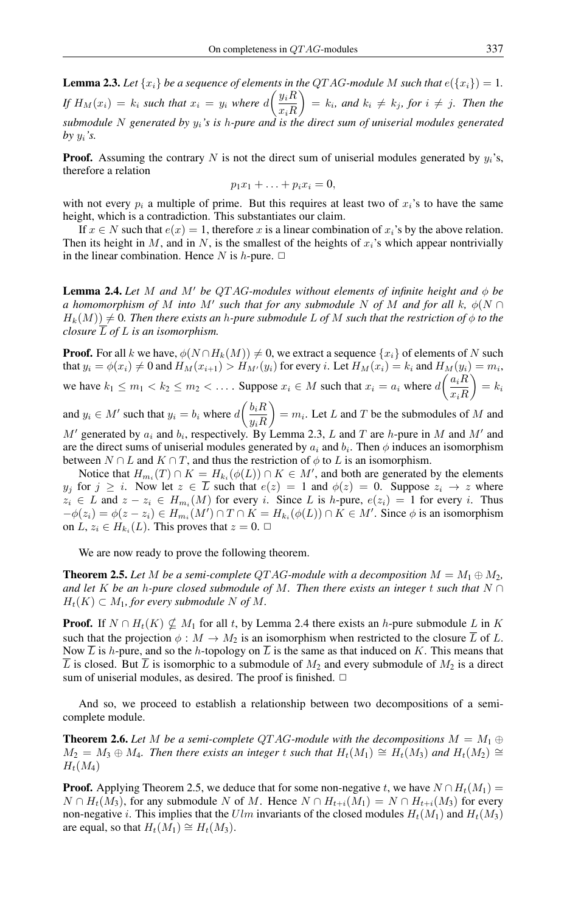**Lemma 2.3.** Let  $\{x_i\}$  be a sequence of elements in the QTAG-module M such that  $e(\{x_i\}) = 1$ . *If*  $H_M(x_i) = k_i$  *such that*  $x_i = y_i$  *where*  $d\left(\frac{y_iR}{x_iR}\right)$  $x_iR$  $\bigg\} = k_i$ , and  $k_i \neq k_j$ , for  $i \neq j$ . Then the *submodule* N *generated by* yi*'s is* h*-pure and is the direct sum of uniserial modules generated*  $by y_i$ 's.

**Proof.** Assuming the contrary N is not the direct sum of uniserial modules generated by  $y_i$ 's, therefore a relation

$$
p_1x_1 + \ldots + p_ix_i = 0,
$$

with not every  $p_i$  a multiple of prime. But this requires at least two of  $x_i$ 's to have the same height, which is a contradiction. This substantiates our claim.

If  $x \in N$  such that  $e(x) = 1$ , therefore x is a linear combination of  $x_i$ 's by the above relation. Then its height in M, and in N, is the smallest of the heights of  $x_i$ 's which appear nontrivially in the linear combination. Hence N is h-pure.  $\Box$ 

**Lemma 2.4.** Let M and M' be QTAG-modules without elements of infinite height and  $\phi$  be *a* homomorphism of M into M' such that for any submodule N of M and for all k,  $\phi(N \cap$  $H_k(M) \neq 0$ . Then there exists an *h*-pure submodule L of M such that the restriction of  $\phi$  to the *closure* L *of* L *is an isomorphism.*

**Proof.** For all k we have,  $\phi(N \cap H_k(M)) \neq 0$ , we extract a sequence  $\{x_i\}$  of elements of N such that  $y_i = \phi(x_i) \neq 0$  and  $H_M(x_{i+1}) > H_{M'}(y_i)$  for every i. Let  $H_M(x_i) = k_i$  and  $H_M(y_i) = m_i$ , we have  $k_1 \le m_1 < k_2 \le m_2 < \ldots$ . Suppose  $x_i \in M$  such that  $x_i = a_i$  where  $d\left(\frac{a_i R}{n} \right)$  $x_iR$  $= k_i$ 

and  $y_i \in M'$  such that  $y_i = b_i$  where  $d\left(\frac{b_i R}{n} \right)$  $y_iR$  $= m_i$ . Let L and T be the submodules of M and

 $M'$  generated by  $a_i$  and  $b_i$ , respectively. By Lemma 2.3, L and T are h-pure in M and M' and are the direct sums of uniserial modules generated by  $a_i$  and  $b_i$ . Then  $\phi$  induces an isomorphism between  $N \cap L$  and  $K \cap T$ , and thus the restriction of  $\phi$  to  $L$  is an isomorphism.

Notice that  $H_{m_i}(T) \cap K = H_{k_i}(\phi(L)) \cap K \in M'$ , and both are generated by the elements  $y_j$  for  $j \geq i$ . Now let  $z \in \overline{L}$  such that  $e(z) = 1$  and  $\phi(z) = 0$ . Suppose  $z_i \to z$  where  $z_i \in L$  and  $z - z_i \in H_{m_i}(M)$  for every i. Since L is h-pure,  $e(z_i) = 1$  for every i. Thus  $-\phi(z_i) = \phi(z - z_i) \in H_{m_i}(M') \cap T \cap K = H_{k_i}(\phi(L)) \cap K \in M'.$  Since  $\phi$  is an isomorphism on  $L, z_i \in H_{k_i}(L)$ . This proves that  $z = 0$ .  $\Box$ 

We are now ready to prove the following theorem.

**Theorem 2.5.** Let M be a semi-complete QTAG-module with a decomposition  $M = M_1 \oplus M_2$ , *and let* K *be an h-pure closed submodule of M. Then there exists an integer t such that*  $N \cap$  $H_t(K) \subset M_1$ , for every submodule N of M.

**Proof.** If  $N \cap H_t(K) \nsubseteq M_1$  for all t, by Lemma 2.4 there exists an h-pure submodule L in K such that the projection  $\phi : M \to M_2$  is an isomorphism when restricted to the closure  $\overline{L}$  of  $L$ . Now  $\overline{L}$  is h-pure, and so the h-topology on  $\overline{L}$  is the same as that induced on K. This means that  $\overline{L}$  is closed. But  $\overline{L}$  is isomorphic to a submodule of  $M_2$  and every submodule of  $M_2$  is a direct sum of uniserial modules, as desired. The proof is finished.  $\Box$ 

And so, we proceed to establish a relationship between two decompositions of a semicomplete module.

**Theorem 2.6.** Let M be a semi-complete QTAG-module with the decompositions  $M = M_1 \oplus M_2$  $M_2 = M_3 \oplus M_4$ . Then there exists an integer t such that  $H_t(M_1) \cong H_t(M_3)$  and  $H_t(M_2) \cong$  $H_t(M_4)$ 

**Proof.** Applying Theorem 2.5, we deduce that for some non-negative t, we have  $N \cap H_t(M_1) =$  $N \cap H_t(M_3)$ , for any submodule N of M. Hence  $N \cap H_{t+i}(M_1) = N \cap H_{t+i}(M_3)$  for every non-negative *i*. This implies that the Ulm invariants of the closed modules  $H_t(M_1)$  and  $H_t(M_3)$ are equal, so that  $H_t(M_1) \cong H_t(M_3)$ .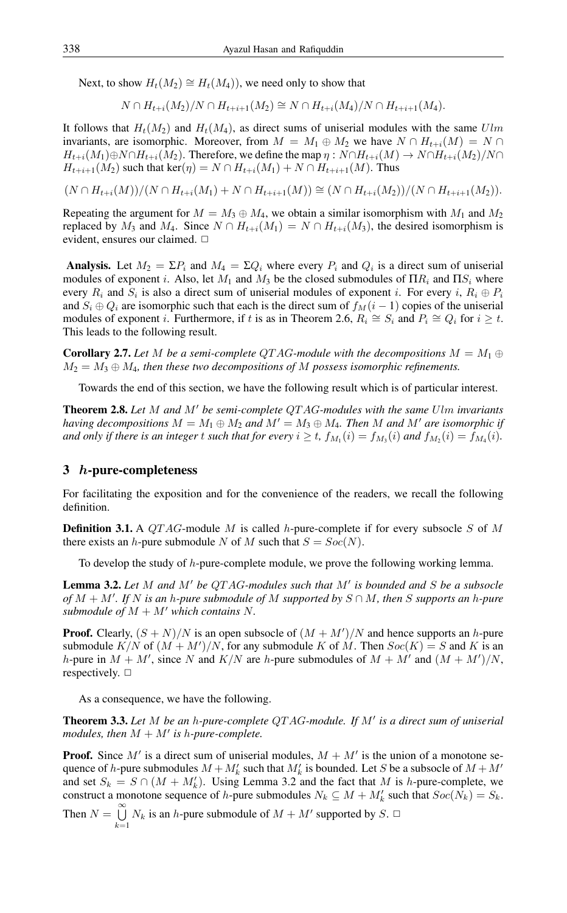Next, to show  $H_t(M_2) \cong H_t(M_4)$ , we need only to show that

 $N \cap H_{t+i}(M_2)/N \cap H_{t+i+1}(M_2) \cong N \cap H_{t+i}(M_4)/N \cap H_{t+i+1}(M_4).$ 

It follows that  $H_t(M_2)$  and  $H_t(M_4)$ , as direct sums of uniserial modules with the same Ulm invariants, are isomorphic. Moreover, from  $M = M_1 \oplus M_2$  we have  $N \cap H_{t+i}(M) = N \cap$  $H_{t+i}(M_1) \oplus N \cap H_{t+i}(M_2)$ . Therefore, we define the map  $\eta : N \cap H_{t+i}(M) \to N \cap H_{t+i}(M_2)/N \cap H_{t+i}(M_1)$  $H_{t+i+1}(M_2)$  such that ker( $\eta$ ) =  $N \cap H_{t+i}(M_1) + N \cap H_{t+i+1}(M)$ . Thus

$$
(N \cap H_{t+i}(M))/(N \cap H_{t+i}(M_1) + N \cap H_{t+i+1}(M)) \cong (N \cap H_{t+i}(M_2))/(N \cap H_{t+i+1}(M_2)).
$$

Repeating the argument for  $M = M_3 \oplus M_4$ , we obtain a similar isomorphism with  $M_1$  and  $M_2$ replaced by  $M_3$  and  $M_4$ . Since  $N \cap H_{t+i}(M_1) = N \cap H_{t+i}(M_3)$ , the desired isomorphism is evident, ensures our claimed.  $\Box$ 

**Analysis.** Let  $M_2 = \Sigma P_i$  and  $M_4 = \Sigma Q_i$  where every  $P_i$  and  $Q_i$  is a direct sum of uniserial modules of exponent i. Also, let  $M_1$  and  $M_3$  be the closed submodules of  $\Pi R_i$  and  $\Pi S_i$  where every  $R_i$  and  $S_i$  is also a direct sum of uniserial modules of exponent *i*. For every *i*,  $R_i \oplus P_i$ and  $S_i \oplus Q_i$  are isomorphic such that each is the direct sum of  $f_M(i - 1)$  copies of the uniserial modules of exponent *i*. Furthermore, if t is as in Theorem 2.6,  $R_i \cong S_i$  and  $P_i \cong Q_i$  for  $i \geq t$ . This leads to the following result.

**Corollary 2.7.** Let M be a semi-complete QTAG-module with the decompositions  $M = M_1 \oplus M_2$  $M_2 = M_3 \oplus M_4$ , then these two decompositions of M possess isomorphic refinements.

Towards the end of this section, we have the following result which is of particular interest.

**Theorem 2.8.** Let M and M' be semi-complete QTAG-modules with the same Ulm invariants *having decompositions*  $M = M_1 \oplus M_2$  *and*  $M' = M_3 \oplus M_4$ *. Then* M *and* M' *are isomorphic if* and only if there is an integer  $t$  such that for every  $i \ge t$ ,  $f_{M_1}(i) = f_{M_3}(i)$  and  $f_{M_2}(i) = f_{M_4}(i)$ .

#### 3 h-pure-completeness

For facilitating the exposition and for the convenience of the readers, we recall the following definition.

**Definition 3.1.** A *QTAG*-module *M* is called *h*-pure-complete if for every subsocle *S* of *M* there exists an *h*-pure submodule N of M such that  $S = Soc(N)$ .

To develop the study of h-pure-complete module, we prove the following working lemma.

Lemma 3.2. Let M and M' be QTAG-modules such that M' is bounded and S be a subsocle  $of M + M'$ . If N is an *h*-pure submodule of M supported by  $S \cap M$ , then S supports an *h*-pure *submodule of*  $M + M'$  *which contains* N.

**Proof.** Clearly,  $(S + N)/N$  is an open subsocle of  $(M + M')/N$  and hence supports an h-pure submodule  $K/N$  of  $(M + M')/N$ , for any submodule K of M. Then  $Soc(K) = S$  and K is an h-pure in  $M + M'$ , since N and  $K/N$  are h-pure submodules of  $M + M'$  and  $(M + M')/N$ , respectively.  $\Box$ 

As a consequence, we have the following.

Theorem 3.3. Let M be an h-pure-complete QTAG-module. If M' is a direct sum of uniserial modules, then  $M + M'$  is h-pure-complete.

**Proof.** Since M' is a direct sum of uniserial modules,  $M + M'$  is the union of a monotone sequence of h-pure submodules  $M + M'_k$  such that  $M'_k$  is bounded. Let S be a subsocle of  $M + M'$ and set  $S_k = S \cap (M + M'_k)$ . Using Lemma 3.2 and the fact that M is h-pure-complete, we construct a monotone sequence of h-pure submodules  $N_k \subseteq M + M'_k$  such that  $Soc(N_k) = S_k$ . Then  $N = \bigcup_{n=1}^{\infty}$  $\bigcup_{k=1} N_k$  is an *h*-pure submodule of  $M + M'$  supported by  $S$ .  $\Box$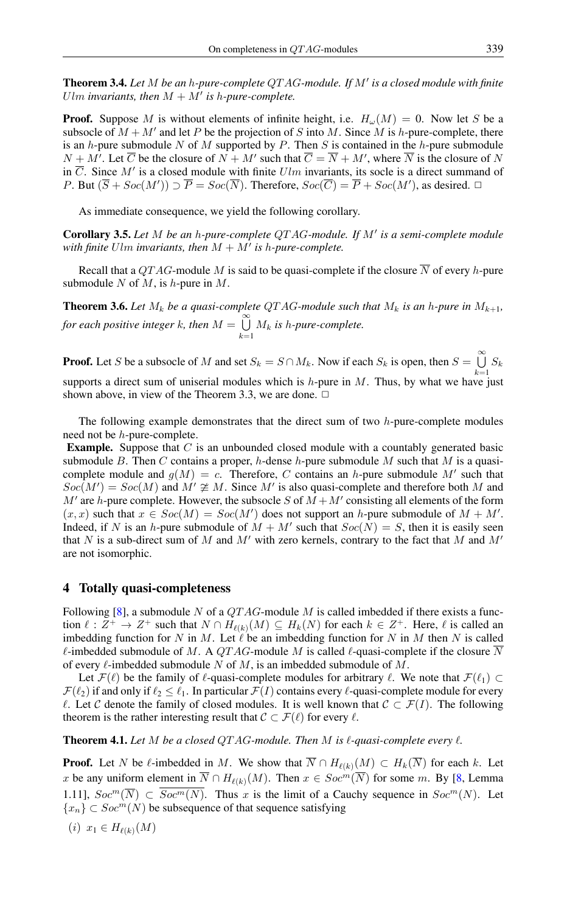Theorem 3.4. Let M be an h-pure-complete QTAG-module. If M' is a closed module with finite Ulm invariants, then  $M + M'$  is h-pure-complete.

**Proof.** Suppose M is without elements of infinite height, i.e.  $H_{\omega}(M) = 0$ . Now let S be a subsocle of  $M + M'$  and let P be the projection of S into M. Since M is h-pure-complete, there is an h-pure submodule N of M supported by P. Then S is contained in the h-pure submodule  $N + M'$ . Let  $\overline{C}$  be the closure of  $N + M'$  such that  $\overline{C} = \overline{N} + M'$ , where  $\overline{N}$  is the closure of N in  $\overline{C}$ . Since M' is a closed module with finite  $Ulm$  invariants, its socle is a direct summand of P. But  $(\overline{S} + Soc(M')) \supset \overline{P} = Soc(\overline{N})$ . Therefore,  $Soc(\overline{C}) = \overline{P} + Soc(M')$ , as desired.  $\Box$ 

As immediate consequence, we yield the following corollary.

Corollary 3.5. Let M be an *h-pure-complete QTAG-module. If M'* is a semi-complete module with finite  $Ulm$  invariants, then  $M + M'$  is h-pure-complete.

Recall that a QTAG-module M is said to be quasi-complete if the closure  $\overline{N}$  of every h-pure submodule  $N$  of  $M$ , is  $h$ -pure in  $M$ .

**Theorem 3.6.** Let  $M_k$  be a quasi-complete QTAG-module such that  $M_k$  is an h-pure in  $M_{k+1}$ , *for each positive integer k, then*  $M = \bigcup_{k=0}^{\infty} M_k$  $\bigcup_{k=1}$  *M<sub>k</sub>* is *h*-pure-complete.

**Proof.** Let S be a subsocle of M and set  $S_k = S \cap M_k$ . Now if each  $S_k$  is open, then  $S = \bigcup_{k=1}^{\infty} S_k$  $\bigcup_{k=1} S_k$ supports a direct sum of uniserial modules which is  $h$ -pure in  $M$ . Thus, by what we have just shown above, in view of the Theorem 3.3, we are done.  $\Box$ 

The following example demonstrates that the direct sum of two  $h$ -pure-complete modules need not be h-pure-complete.

**Example.** Suppose that  $C$  is an unbounded closed module with a countably generated basic submodule B. Then C contains a proper, h-dense h-pure submodule M such that M is a quasicomplete module and  $g(M) = c$ . Therefore, C contains an h-pure submodule M' such that  $Soc(M') = Soc(M)$  and  $M' \not\cong M$ . Since M' is also quasi-complete and therefore both M and  $M'$  are h-pure complete. However, the subsocle S of  $M + M'$  consisting all elements of the form  $(x, x)$  such that  $x \in Soc(M) = Soc(M')$  does not support an h-pure submodule of  $M + M'$ . Indeed, if N is an h-pure submodule of  $M + M'$  such that  $Soc(N) = S$ , then it is easily seen that N is a sub-direct sum of M and M' with zero kernels, contrary to the fact that M and  $M'$ are not isomorphic.

#### 4 Totally quasi-completeness

Following [\[8\]](#page-6-7), a submodule N of a  $QTAG$ -module M is called imbedded if there exists a function  $\ell : Z^+ \to Z^+$  such that  $N \cap H_{\ell(k)}(M) \subseteq H_k(N)$  for each  $k \in Z^+$ . Here,  $\ell$  is called an imbedding function for N in M. Let  $\ell$  be an imbedding function for N in M then N is called  $\ell$ -imbedded submodule of M. A QTAG-module M is called  $\ell$ -quasi-complete if the closure  $\overline{N}$ of every  $\ell$ -imbedded submodule N of M, is an imbedded submodule of M.

Let  $\mathcal{F}(\ell)$  be the family of  $\ell$ -quasi-complete modules for arbitrary  $\ell$ . We note that  $\mathcal{F}(\ell_1) \subset$  $\mathcal{F}(\ell_2)$  if and only if  $\ell_2 \leq \ell_1$ . In particular  $\mathcal{F}(I)$  contains every  $\ell$ -quasi-complete module for every  $\ell$ . Let C denote the family of closed modules. It is well known that  $C \subset \mathcal{F}(I)$ . The following theorem is the rather interesting result that  $C \subset \mathcal{F}(\ell)$  for every  $\ell$ .

**Theorem 4.1.** Let  $M$  be a closed QTAG-module. Then  $M$  is  $\ell$ -quasi-complete every  $\ell$ .

**Proof.** Let N be  $\ell$ -imbedded in M. We show that  $\overline{N} \cap H_{\ell(k)}(M) \subset H_k(\overline{N})$  for each k. Let x be any uniform element in  $\overline{N} \cap H_{\ell(k)}(M)$ . Then  $x \in Soc^m(\overline{N})$  for some m. By [\[8,](#page-6-7) Lemma 1.11],  $Soc^m(\overline{N}) \subset \overline{Soc^m(N)}$ . Thus x is the limit of a Cauchy sequence in  $Soc^m(N)$ . Let  ${x_n} \subset Soc^{m}(N)$  be subsequence of that sequence satisfying

(i)  $x_1 \in H_{\ell(k)}(M)$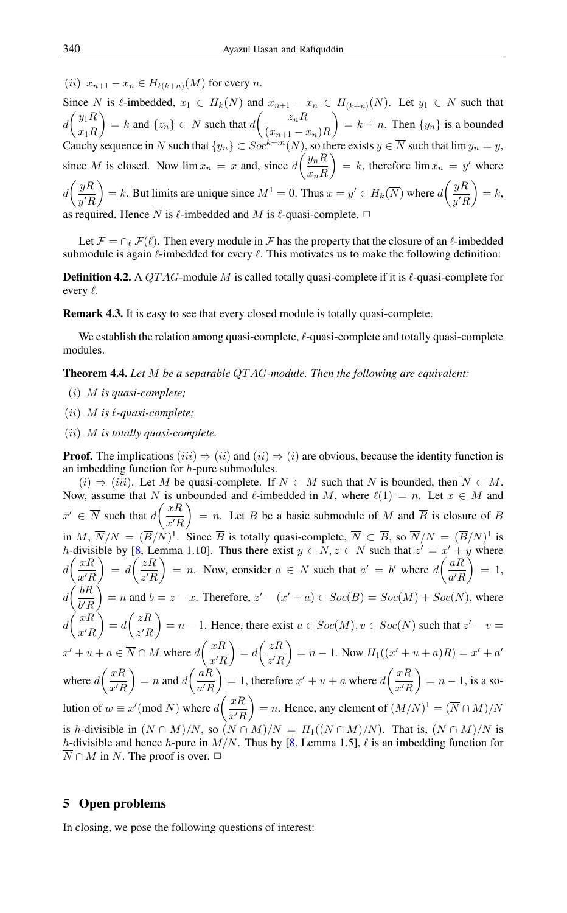(ii)  $x_{n+1} - x_n \in H_{\ell(k+n)}(M)$  for every n.

Since N is  $\ell$ -imbedded,  $x_1 \in H_k(N)$  and  $x_{n+1} - x_n \in H_{(k+n)}(N)$ . Let  $y_1 \in N$  such that  $d\left(\frac{y_1R}{\pi R}\right)$  $x_1R$  $= k$  and  $\{z_n\} \subset N$  such that  $d\left(\frac{z_nR}{\sqrt{n}}\right)$  $(x_{n+1} - x_n)R$  $= k + n$ . Then  $\{y_n\}$  is a bounded Cauchy sequence in N such that  $\{y_n\} \subset Soc^{k+m}(N)$ , so there exists  $y \in \overline{N}$  such that lim  $y_n = y$ , since M is closed. Now  $\lim x_n = x$  and, since  $d\left(\frac{y_n R}{x} \right)$  $x_nR$  $= k$ , therefore  $\lim x_n = y'$  where  $d\left(\frac{yR}{\sqrt{L}}\right)$  $y'R$  $= k$ . But limits are unique since  $M^1 = 0$ . Thus  $x = y' \in H_k(\overline{N})$  where  $d\left(\frac{yR}{g/L}\right)$  $y'R$  $= k,$ as required. Hence  $\overline{N}$  is  $\ell$ -imbedded and M is  $\ell$ -quasi-complete.  $\Box$ 

Let  $\mathcal{F} = \bigcap_{\ell} \mathcal{F}(\ell)$ . Then every module in F has the property that the closure of an  $\ell$ -imbedded submodule is again  $\ell$ -imbedded for every  $\ell$ . This motivates us to make the following definition:

**Definition 4.2.** A QTAG-module M is called totally quasi-complete if it is  $\ell$ -quasi-complete for every  $\ell$ .

Remark 4.3. It is easy to see that every closed module is totally quasi-complete.

We establish the relation among quasi-complete,  $\ell$ -quasi-complete and totally quasi-complete modules.

Theorem 4.4. *Let* M *be a separable* QT AG*-module. Then the following are equivalent:*

- (i) M *is quasi-complete;*
- $(iii)$  *M* is  $\ell$ -quasi-complete;
- (ii) M *is totally quasi-complete.*

**Proof.** The implications  $(iii) \Rightarrow (ii)$  and  $(ii) \Rightarrow (i)$  are obvious, because the identity function is an imbedding function for  $h$ -pure submodules.

 $(i)$  ⇒  $(iii)$ . Let M be quasi-complete. If  $N \subset M$  such that N is bounded, then  $\overline{N} \subset M$ . Now, assume that N is unbounded and  $\ell$ -imbedded in M, where  $\ell(1) = n$ . Let  $x \in M$  and  $x' \in \overline{N}$  such that  $d\left(\frac{xR}{x'}\right)$  $x'R$  $= n$ . Let B be a basic submodule of M and  $\overline{B}$  is closure of B in M,  $\overline{N}/N = (\overline{B}/N)^1$ . Since  $\overline{B}$  is totally quasi-complete,  $\overline{N} \subset \overline{B}$ , so  $\overline{N}/N = (\overline{B}/N)^1$  is h-divisible by [\[8,](#page-6-7) Lemma 1.10]. Thus there exist  $y \in N$ ,  $z \in \overline{N}$  such that  $z' = x' + y$  where  $d\left(\frac{xR}{\sqrt{r}}\right)$  $x'R$  $\Big) = d \Big( \frac{zR}{l^2}$  $z'R$  $= n$ . Now, consider  $a \in N$  such that  $a' = b'$  where  $d\left(\frac{aR}{dt}\right)$  $a'R$  $\Big) = 1,$  $d\left(\frac{bR}{U} \right)$  $b'R$  $= n$  and  $b = z - x$ . Therefore,  $z' - (x' + a) \in Soc(\overline{B}) = Soc(M) + Soc(\overline{N})$ , where  $d\left(\frac{xR}{\sqrt{r}}\right)$  $x'R$  $= d \left( \frac{zR}{l} \right)$  $z'R$  $= n - 1$ . Hence, there exist  $u \in Soc(M), v \in Soc(\overline{N})$  such that  $z' - v =$  $x' + u + a \in \overline{N} \cap M$  where  $d\left(\frac{xR}{dt}\right)$  $x'R$  $= d \left( \frac{zR}{l} \right)$  $z'R$  $= n - 1$ . Now  $H_1((x' + u + a)R) = x' + a'$ where  $d\left(\frac{xR}{H}\right)$  $x'R$  $= n$  and  $d\left(\frac{aR}{\sqrt{R}}\right)$  $a'R$ = 1, therefore  $x' + u + a$  where  $d\left(\frac{xR}{dt}\right)$  $x'R$  $= n - 1$ , is a solution of  $w \equiv x' \pmod{N}$  where  $d \left( \frac{xR}{x\sqrt{n}} \right)$  $x'R$  $= n$ . Hence, any element of  $(M/N)^1 = (\overline{N} \cap M)/N$ is h-divisible in  $(\overline{N} \cap M)/N$ , so  $(\overline{N} \cap M)/N = H_1((\overline{N} \cap M)/N)$ . That is,  $(\overline{N} \cap M)/N$  is h-divisible and hence h-pure in  $M/N$ . Thus by [\[8,](#page-6-7) Lemma 1.5],  $\ell$  is an imbedding function for  $\overline{N} \cap M$  in N. The proof is over.  $\Box$ 

## 5 Open problems

In closing, we pose the following questions of interest: